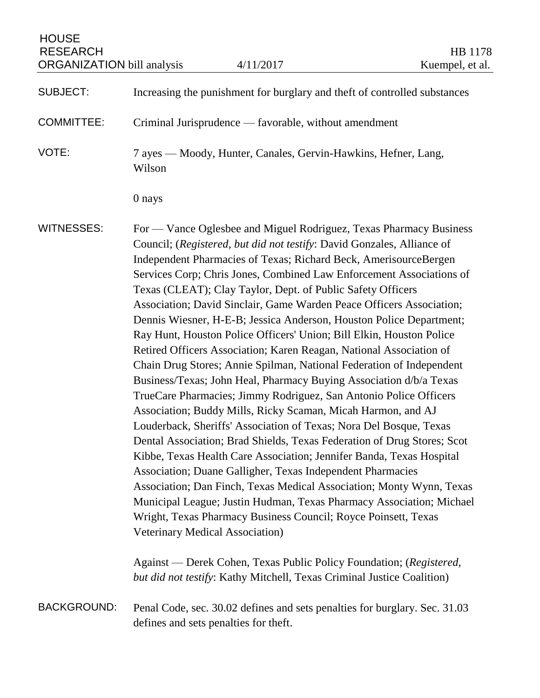| <b>HOUSE</b><br><b>RESEARCH</b><br><b>ORGANIZATION</b> bill analysis |                                                                           | 4/11/2017                                                                                                                                                                                                                                                                                                                                                                                                                                                                                                                                                                                                                                                                                                                                                                                                                                                                                                                                                                                                                                                                                                                                                                                                                                                                                                                                                                                                                                                                                                                                                                                          | HB 1178<br>Kuempel, et al. |
|----------------------------------------------------------------------|---------------------------------------------------------------------------|----------------------------------------------------------------------------------------------------------------------------------------------------------------------------------------------------------------------------------------------------------------------------------------------------------------------------------------------------------------------------------------------------------------------------------------------------------------------------------------------------------------------------------------------------------------------------------------------------------------------------------------------------------------------------------------------------------------------------------------------------------------------------------------------------------------------------------------------------------------------------------------------------------------------------------------------------------------------------------------------------------------------------------------------------------------------------------------------------------------------------------------------------------------------------------------------------------------------------------------------------------------------------------------------------------------------------------------------------------------------------------------------------------------------------------------------------------------------------------------------------------------------------------------------------------------------------------------------------|----------------------------|
| <b>SUBJECT:</b>                                                      | Increasing the punishment for burglary and theft of controlled substances |                                                                                                                                                                                                                                                                                                                                                                                                                                                                                                                                                                                                                                                                                                                                                                                                                                                                                                                                                                                                                                                                                                                                                                                                                                                                                                                                                                                                                                                                                                                                                                                                    |                            |
| <b>COMMITTEE:</b>                                                    | Criminal Jurisprudence — favorable, without amendment                     |                                                                                                                                                                                                                                                                                                                                                                                                                                                                                                                                                                                                                                                                                                                                                                                                                                                                                                                                                                                                                                                                                                                                                                                                                                                                                                                                                                                                                                                                                                                                                                                                    |                            |
| VOTE:                                                                | Wilson                                                                    | 7 ayes — Moody, Hunter, Canales, Gervin-Hawkins, Hefner, Lang,                                                                                                                                                                                                                                                                                                                                                                                                                                                                                                                                                                                                                                                                                                                                                                                                                                                                                                                                                                                                                                                                                                                                                                                                                                                                                                                                                                                                                                                                                                                                     |                            |
|                                                                      | 0 nays                                                                    |                                                                                                                                                                                                                                                                                                                                                                                                                                                                                                                                                                                                                                                                                                                                                                                                                                                                                                                                                                                                                                                                                                                                                                                                                                                                                                                                                                                                                                                                                                                                                                                                    |                            |
| <b>WITNESSES:</b>                                                    | Veterinary Medical Association)                                           | For — Vance Oglesbee and Miguel Rodriguez, Texas Pharmacy Business<br>Council; (Registered, but did not testify: David Gonzales, Alliance of<br>Independent Pharmacies of Texas; Richard Beck, AmerisourceBergen<br>Services Corp; Chris Jones, Combined Law Enforcement Associations of<br>Texas (CLEAT); Clay Taylor, Dept. of Public Safety Officers<br>Association; David Sinclair, Game Warden Peace Officers Association;<br>Dennis Wiesner, H-E-B; Jessica Anderson, Houston Police Department;<br>Ray Hunt, Houston Police Officers' Union; Bill Elkin, Houston Police<br>Retired Officers Association; Karen Reagan, National Association of<br>Chain Drug Stores; Annie Spilman, National Federation of Independent<br>Business/Texas; John Heal, Pharmacy Buying Association d/b/a Texas<br>TrueCare Pharmacies; Jimmy Rodriguez, San Antonio Police Officers<br>Association; Buddy Mills, Ricky Scaman, Micah Harmon, and AJ<br>Louderback, Sheriffs' Association of Texas; Nora Del Bosque, Texas<br>Dental Association; Brad Shields, Texas Federation of Drug Stores; Scot<br>Kibbe, Texas Health Care Association; Jennifer Banda, Texas Hospital<br>Association; Duane Galligher, Texas Independent Pharmacies<br>Association; Dan Finch, Texas Medical Association; Monty Wynn, Texas<br>Municipal League; Justin Hudman, Texas Pharmacy Association; Michael<br>Wright, Texas Pharmacy Business Council; Royce Poinsett, Texas<br>Against — Derek Cohen, Texas Public Policy Foundation; (Registered,<br>but did not testify: Kathy Mitchell, Texas Criminal Justice Coalition) |                            |
| <b>BACKGROUND:</b>                                                   | defines and sets penalties for theft.                                     | Penal Code, sec. 30.02 defines and sets penalties for burglary. Sec. 31.03                                                                                                                                                                                                                                                                                                                                                                                                                                                                                                                                                                                                                                                                                                                                                                                                                                                                                                                                                                                                                                                                                                                                                                                                                                                                                                                                                                                                                                                                                                                         |                            |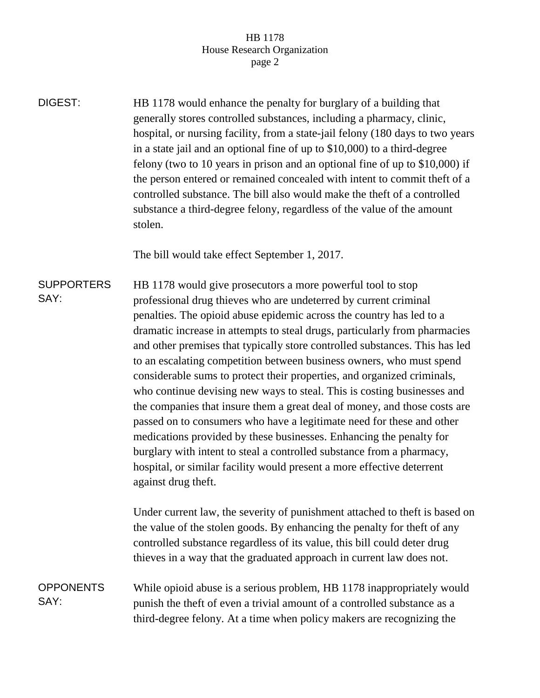## HB 1178 House Research Organization page 2

DIGEST: HB 1178 would enhance the penalty for burglary of a building that generally stores controlled substances, including a pharmacy, clinic, hospital, or nursing facility, from a state-jail felony (180 days to two years in a state jail and an optional fine of up to \$10,000) to a third-degree felony (two to 10 years in prison and an optional fine of up to \$10,000) if the person entered or remained concealed with intent to commit theft of a controlled substance. The bill also would make the theft of a controlled substance a third-degree felony, regardless of the value of the amount stolen.

The bill would take effect September 1, 2017.

**SUPPORTERS** SAY: HB 1178 would give prosecutors a more powerful tool to stop professional drug thieves who are undeterred by current criminal penalties. The opioid abuse epidemic across the country has led to a dramatic increase in attempts to steal drugs, particularly from pharmacies and other premises that typically store controlled substances. This has led to an escalating competition between business owners, who must spend considerable sums to protect their properties, and organized criminals, who continue devising new ways to steal. This is costing businesses and the companies that insure them a great deal of money, and those costs are passed on to consumers who have a legitimate need for these and other medications provided by these businesses. Enhancing the penalty for burglary with intent to steal a controlled substance from a pharmacy, hospital, or similar facility would present a more effective deterrent against drug theft.

> Under current law, the severity of punishment attached to theft is based on the value of the stolen goods. By enhancing the penalty for theft of any controlled substance regardless of its value, this bill could deter drug thieves in a way that the graduated approach in current law does not.

**OPPONENTS** SAY: While opioid abuse is a serious problem, HB 1178 inappropriately would punish the theft of even a trivial amount of a controlled substance as a third-degree felony. At a time when policy makers are recognizing the